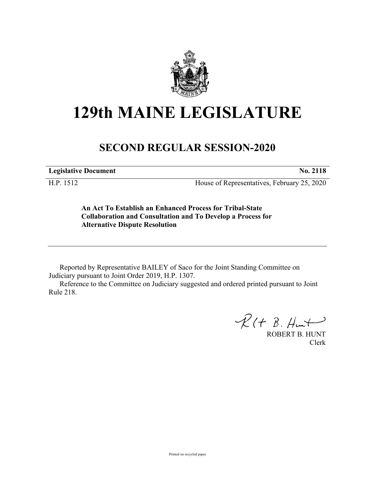

# **129th MAINE LEGISLATURE**

## **SECOND REGULAR SESSION-2020**

**Legislative Document No. 2118**

H.P. 1512 House of Representatives, February 25, 2020

**An Act To Establish an Enhanced Process for Tribal-State Collaboration and Consultation and To Develop a Process for Alternative Dispute Resolution**

Reported by Representative BAILEY of Saco for the Joint Standing Committee on Judiciary pursuant to Joint Order 2019, H.P. 1307.

Reference to the Committee on Judiciary suggested and ordered printed pursuant to Joint Rule 218.

 $R(t B. Hmt)$ 

ROBERT B. HUNT Clerk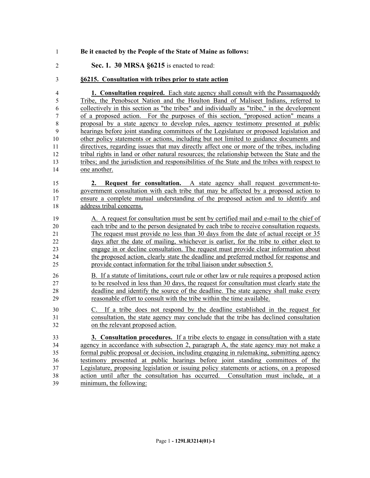- **Be it enacted by the People of the State of Maine as follows:**
- **Sec. 1. 30 MRSA §6215** is enacted to read:
- **§6215. Consultation with tribes prior to state action**

 **1. Consultation required.** Each state agency shall consult with the Passamaquoddy Tribe, the Penobscot Nation and the Houlton Band of Maliseet Indians, referred to collectively in this section as "the tribes" and individually as "tribe," in the development of a proposed action. For the purposes of this section, "proposed action" means a proposal by a state agency to develop rules, agency testimony presented at public hearings before joint standing committees of the Legislature or proposed legislation and other policy statements or actions, including but not limited to guidance documents and directives, regarding issues that may directly affect one or more of the tribes, including tribal rights in land or other natural resources; the relationship between the State and the tribes; and the jurisdiction and responsibilities of the State and the tribes with respect to one another.

 **2. Request for consultation.** A state agency shall request government-to- government consultation with each tribe that may be affected by a proposed action to ensure a complete mutual understanding of the proposed action and to identify and address tribal concerns.

- A. A request for consultation must be sent by certified mail and e-mail to the chief of each tribe and to the person designated by each tribe to receive consultation requests. The request must provide no less than 30 days from the date of actual receipt or 35 days after the date of mailing, whichever is earlier, for the tribe to either elect to engage in or decline consultation. The request must provide clear information about the proposed action, clearly state the deadline and preferred method for response and provide contact information for the tribal liaison under subsection 5.
- B. If a statute of limitations, court rule or other law or rule requires a proposed action to be resolved in less than 30 days, the request for consultation must clearly state the deadline and identify the source of the deadline. The state agency shall make every reasonable effort to consult with the tribe within the time available.
- C. If a tribe does not respond by the deadline established in the request for consultation, the state agency may conclude that the tribe has declined consultation on the relevant proposed action.

 **3. Consultation procedures.** If a tribe elects to engage in consultation with a state agency in accordance with subsection 2, paragraph A, the state agency may not make a formal public proposal or decision, including engaging in rulemaking, submitting agency testimony presented at public hearings before joint standing committees of the Legislature, proposing legislation or issuing policy statements or actions, on a proposed action until after the consultation has occurred. Consultation must include, at a minimum, the following: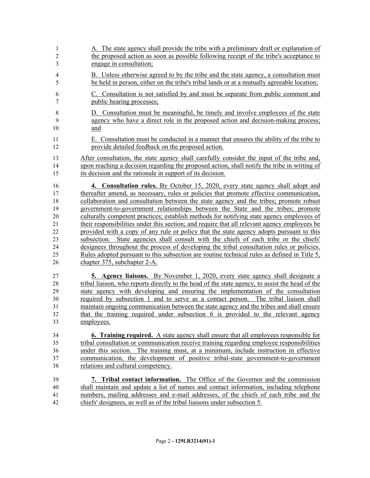| 1              | A. The state agency shall provide the tribe with a preliminary draft or explanation of          |
|----------------|-------------------------------------------------------------------------------------------------|
| $\overline{c}$ | the proposed action as soon as possible following receipt of the tribe's acceptance to          |
| 3              | engage in consultation;                                                                         |
| $\overline{4}$ | B. Unless otherwise agreed to by the tribe and the state agency, a consultation must            |
| 5              | be held in person, either on the tribe's tribal lands or at a mutually agreeable location;      |
| 6              | C. Consultation is not satisfied by and must be separate from public comment and                |
| 7              | public hearing processes;                                                                       |
| $\,$ $\,$      | D. Consultation must be meaningful, be timely and involve employees of the state                |
| 9              | agency who have a direct role in the proposed action and decision-making process;               |
| 10             | and                                                                                             |
| 11             | E. Consultation must be conducted in a manner that ensures the ability of the tribe to          |
| 12             | provide detailed feedback on the proposed action.                                               |
| 13             | After consultation, the state agency shall carefully consider the input of the tribe and,       |
| 14             | upon reaching a decision regarding the proposed action, shall notify the tribe in writing of    |
| 15             | its decision and the rationale in support of its decision.                                      |
| 16             | 4. Consultation rules. By October 15, 2020, every state agency shall adopt and                  |
| 17             | thereafter amend, as necessary, rules or policies that promote effective communication,         |
| 18             | collaboration and consultation between the state agency and the tribes; promote robust          |
| 19             | government-to-government relationships between the State and the tribes; promote                |
| 20             | culturally competent practices; establish methods for notifying state agency employees of       |
| 21             | their responsibilities under this section; and require that all relevant agency employees be    |
| 22             | provided with a copy of any rule or policy that the state agency adopts pursuant to this        |
| 23             | subsection. State agencies shall consult with the chiefs of each tribe or the chiefs'           |
| 24             | designees throughout the process of developing the tribal consultation rules or policies.       |
| 25             | Rules adopted pursuant to this subsection are routine technical rules as defined in Title 5,    |
| 26             | chapter 375, subchapter 2-A.                                                                    |
| 27             | <b>5. Agency liaisons.</b> By November 1, 2020, every state agency shall designate a            |
| 28             | tribal liaison, who reports directly to the head of the state agency, to assist the head of the |
| 29             | state agency with developing and ensuring the implementation of the consultation                |
| 30             | required by subsection 1 and to serve as a contact person. The tribal liaison shall             |
| 31             | maintain ongoing communication between the state agency and the tribes and shall ensure         |
| 32             | that the training required under subsection 6 is provided to the relevant agency                |
| 33             | employees.                                                                                      |
| 34             | <b>6. Training required.</b> A state agency shall ensure that all employees responsible for     |
| 35             | tribal consultation or communication receive training regarding employee responsibilities       |
| 36             | under this section. The training must, at a minimum, include instruction in effective           |
| 37             | communication, the development of positive tribal-state government-to-government                |
| 38             | relations and cultural competency.                                                              |
| 39             | 7. Tribal contact information. The Office of the Governor and the commission                    |
| 40             | shall maintain and update a list of names and contact information, including telephone          |
| 41             | numbers, mailing addresses and e-mail addresses, of the chiefs of each tribe and the            |
| 42             | chiefs' designees, as well as of the tribal liaisons under subsection 5.                        |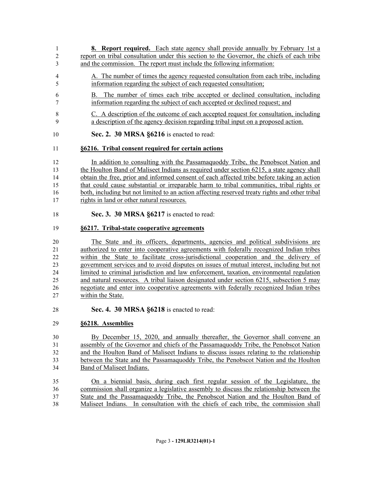- **8. Report required.** Each state agency shall provide annually by February 1st a report on tribal consultation under this section to the Governor, the chiefs of each tribe and the commission. The report must include the following information:
- A. The number of times the agency requested consultation from each tribe, including information regarding the subject of each requested consultation;
- B. The number of times each tribe accepted or declined consultation, including information regarding the subject of each accepted or declined request; and
- C. A description of the outcome of each accepted request for consultation, including a description of the agency decision regarding tribal input on a proposed action.
- **Sec. 2. 30 MRSA §6216** is enacted to read:

#### **§6216. Tribal consent required for certain actions**

 In addition to consulting with the Passamaquoddy Tribe, the Penobscot Nation and the Houlton Band of Maliseet Indians as required under section 6215, a state agency shall obtain the free, prior and informed consent of each affected tribe before taking an action that could cause substantial or irreparable harm to tribal communities, tribal rights or both, including but not limited to an action affecting reserved treaty rights and other tribal rights in land or other natural resources.

**Sec. 3. 30 MRSA §6217** is enacted to read:

#### **§6217. Tribal-state cooperative agreements**

 The State and its officers, departments, agencies and political subdivisions are authorized to enter into cooperative agreements with federally recognized Indian tribes within the State to facilitate cross-jurisdictional cooperation and the delivery of government services and to avoid disputes on issues of mutual interest, including but not limited to criminal jurisdiction and law enforcement, taxation, environmental regulation and natural resources. A tribal liaison designated under section 6215, subsection 5 may negotiate and enter into cooperative agreements with federally recognized Indian tribes within the State.

**Sec. 4. 30 MRSA §6218** is enacted to read:

### **§6218. Assemblies**

 By December 15, 2020, and annually thereafter, the Governor shall convene an assembly of the Governor and chiefs of the Passamaquoddy Tribe, the Penobscot Nation and the Houlton Band of Maliseet Indians to discuss issues relating to the relationship between the State and the Passamaquoddy Tribe, the Penobscot Nation and the Houlton Band of Maliseet Indians.

 On a biennial basis, during each first regular session of the Legislature, the commission shall organize a legislative assembly to discuss the relationship between the State and the Passamaquoddy Tribe, the Penobscot Nation and the Houlton Band of Maliseet Indians. In consultation with the chiefs of each tribe, the commission shall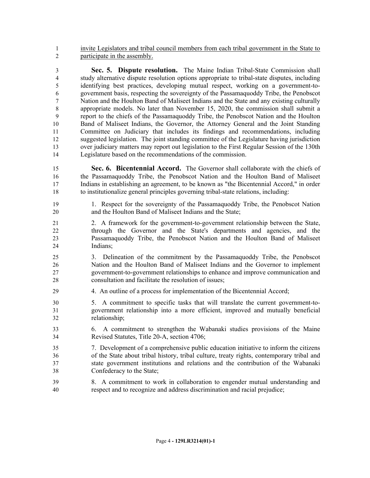invite Legislators and tribal council members from each tribal government in the State to participate in the assembly.

 **Sec. 5. Dispute resolution.** The Maine Indian Tribal-State Commission shall study alternative dispute resolution options appropriate to tribal-state disputes, including identifying best practices, developing mutual respect, working on a government-to- government basis, respecting the sovereignty of the Passamaquoddy Tribe, the Penobscot Nation and the Houlton Band of Maliseet Indians and the State and any existing culturally appropriate models. No later than November 15, 2020, the commission shall submit a report to the chiefs of the Passamaquoddy Tribe, the Penobscot Nation and the Houlton Band of Maliseet Indians, the Governor, the Attorney General and the Joint Standing Committee on Judiciary that includes its findings and recommendations, including suggested legislation. The joint standing committee of the Legislature having jurisdiction over judiciary matters may report out legislation to the First Regular Session of the 130th Legislature based on the recommendations of the commission.

 **Sec. 6. Bicentennial Accord.** The Governor shall collaborate with the chiefs of the Passamaquoddy Tribe, the Penobscot Nation and the Houlton Band of Maliseet Indians in establishing an agreement, to be known as "the Bicentennial Accord," in order to institutionalize general principles governing tribal-state relations, including:

- 1. Respect for the sovereignty of the Passamaquoddy Tribe, the Penobscot Nation and the Houlton Band of Maliseet Indians and the State;
- 2. A framework for the government-to-government relationship between the State, through the Governor and the State's departments and agencies, and the Passamaquoddy Tribe, the Penobscot Nation and the Houlton Band of Maliseet Indians;
- 3. Delineation of the commitment by the Passamaquoddy Tribe, the Penobscot Nation and the Houlton Band of Maliseet Indians and the Governor to implement government-to-government relationships to enhance and improve communication and consultation and facilitate the resolution of issues;
- 4. An outline of a process for implementation of the Bicentennial Accord;
- 5. A commitment to specific tasks that will translate the current government-to- government relationship into a more efficient, improved and mutually beneficial relationship;
- 6. A commitment to strengthen the Wabanaki studies provisions of the Maine Revised Statutes, Title 20-A, section 4706;
- 7. Development of a comprehensive public education initiative to inform the citizens of the State about tribal history, tribal culture, treaty rights, contemporary tribal and state government institutions and relations and the contribution of the Wabanaki Confederacy to the State;
- 8. A commitment to work in collaboration to engender mutual understanding and respect and to recognize and address discrimination and racial prejudice;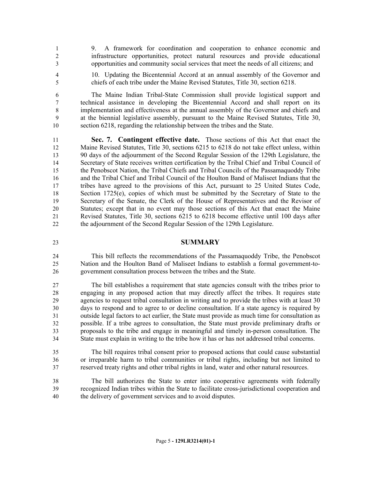9. A framework for coordination and cooperation to enhance economic and infrastructure opportunities, protect natural resources and provide educational opportunities and community social services that meet the needs of all citizens; and

 10. Updating the Bicentennial Accord at an annual assembly of the Governor and chiefs of each tribe under the Maine Revised Statutes, Title 30, section 6218.

 The Maine Indian Tribal-State Commission shall provide logistical support and technical assistance in developing the Bicentennial Accord and shall report on its implementation and effectiveness at the annual assembly of the Governor and chiefs and at the biennial legislative assembly, pursuant to the Maine Revised Statutes, Title 30, section 6218, regarding the relationship between the tribes and the State.

 **Sec. 7. Contingent effective date.** Those sections of this Act that enact the Maine Revised Statutes, Title 30, sections 6215 to 6218 do not take effect unless, within 90 days of the adjournment of the Second Regular Session of the 129th Legislature, the Secretary of State receives written certification by the Tribal Chief and Tribal Council of the Penobscot Nation, the Tribal Chiefs and Tribal Councils of the Passamaquoddy Tribe and the Tribal Chief and Tribal Council of the Houlton Band of Maliseet Indians that the tribes have agreed to the provisions of this Act, pursuant to 25 United States Code, 18 Section 1725(e), copies of which must be submitted by the Secretary of State to the Secretary of the Senate, the Clerk of the House of Representatives and the Revisor of Statutes; except that in no event may those sections of this Act that enact the Maine Revised Statutes, Title 30, sections 6215 to 6218 become effective until 100 days after the adjournment of the Second Regular Session of the 129th Legislature.

- **SUMMARY**
- This bill reflects the recommendations of the Passamaquoddy Tribe, the Penobscot Nation and the Houlton Band of Maliseet Indians to establish a formal government-to-government consultation process between the tribes and the State.

 The bill establishes a requirement that state agencies consult with the tribes prior to engaging in any proposed action that may directly affect the tribes. It requires state agencies to request tribal consultation in writing and to provide the tribes with at least 30 days to respond and to agree to or decline consultation. If a state agency is required by outside legal factors to act earlier, the State must provide as much time for consultation as possible. If a tribe agrees to consultation, the State must provide preliminary drafts or proposals to the tribe and engage in meaningful and timely in-person consultation. The State must explain in writing to the tribe how it has or has not addressed tribal concerns.

- The bill requires tribal consent prior to proposed actions that could cause substantial or irreparable harm to tribal communities or tribal rights, including but not limited to reserved treaty rights and other tribal rights in land, water and other natural resources.
- The bill authorizes the State to enter into cooperative agreements with federally recognized Indian tribes within the State to facilitate cross-jurisdictional cooperation and the delivery of government services and to avoid disputes.